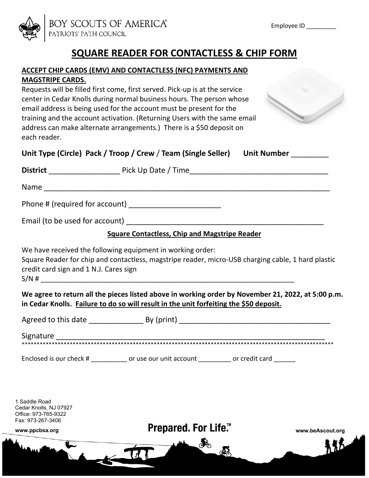

# **SQUARE READER FOR CONTACTLESS & CHIP FORM**

#### **ACCEPT CHIP CARDS (EMV) AND CONTACTLESS (NFC) PAYMENTS AND MAGSTRIPE CARDS.**

Requests will be filled first come, first served. Pick-up is at the service center in Cedar Knolls during normal business hours. The person whose email address is being used for the account must be present for the training and the account activation. (Returning Users with the same email address can make alternate arrangements.) There is a \$50 deposit on each reader.



|                                        | <b>Square Contactless, Chip and Magstripe Reader</b>                                                                                                             |  |
|----------------------------------------|------------------------------------------------------------------------------------------------------------------------------------------------------------------|--|
| credit card sign and 1 N.J. Cares sign | We have received the following equipment in working order:<br>Square Reader for chip and contactless, magstripe reader, micro-USB charging cable, 1 hard plastic |  |
|                                        | $S/N$ # $\overline{\phantom{a}}$<br>We agree to return all the pieces listed above in working order by November 21, 2022, at 5:00 p.m.                           |  |
|                                        | in Cedar Knolls. Failure to do so will result in the unit forfeiting the \$50 deposit.                                                                           |  |
|                                        |                                                                                                                                                                  |  |
|                                        |                                                                                                                                                                  |  |
|                                        | Enclosed is our check # _____________ or use our unit account __________ or credit card _______                                                                  |  |
|                                        |                                                                                                                                                                  |  |



 $\boldsymbol{\mathcal{H}}$ 

品

Fax: 973-267-3406